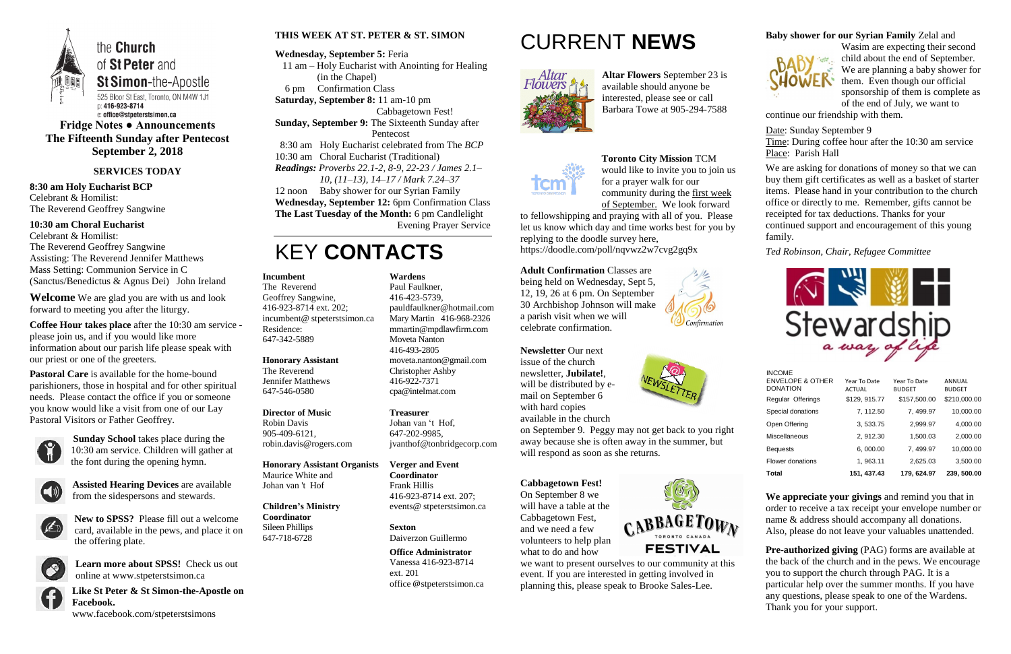

e: office@stpeterstsimon.ca **Fridge Notes ● Announcements The Fifteenth Sunday after Pentecost**

**September 2, 2018**

### **SERVICES TODAY**

**8:30 am Holy Eucharist BCP** Celebrant & Homilist: The Reverend Geoffrey Sangwine

### **10:30 am Choral Eucharist**

Celebrant & Homilist: The Reverend Geoffrey Sangwine Assisting: The Reverend Jennifer Matthews Mass Setting: Communion Service in C (Sanctus/Benedictus & Agnus Dei) John Ireland

**Welcome** We are glad you are with us and look forward to meeting you after the liturgy.

**Coffee Hour takes place** after the 10:30 am service please join us, and if you would like more information about our parish life please speak with our priest or one of the greeters.

**Pastoral Care** is available for the home-bound parishioners, those in hospital and for other spiritual needs. Please contact the office if you or someone you know would like a visit from one of our Lay Pastoral Visitors or Father Geoffrey.



**Sunday School** takes place during the 10:30 am service. Children will gather at the font during the opening hymn.



**Assisted Hearing Devices** are available from the sidespersons and stewards.



**New to SPSS?** Please fill out a welcome card, available in the pews, and place it on the offering plate.



**Learn more about SPSS!** Check us out online at www.stpeterstsimon.ca

**Like St Peter & St Simon-the-Apostle on Facebook.**  www.facebook.com/stpeterstsimons

### **THIS WEEK AT ST. PETER & ST. SIMON**

### **Wednesday, September 5:** Feria

 11 am – Holy Eucharist with Anointing for Healing (in the Chapel) 6 pm Confirmation Class

**Saturday, September 8:** 11 am-10 pm

Cabbagetown Fest!

**Sunday, September 9:** The Sixteenth Sunday after Pentecost

8:30 am Holy Eucharist celebrated from The *BCP*

10:30 am Choral Eucharist (Traditional) *Readings: Proverbs 22.1-2, 8-9, 22-23 / James 2.1– 10, (11–13), 14–17 / Mark 7.24–37* 12 noon Baby shower for our Syrian Family **Wednesday, September 12:** 6pm Confirmation Class

**The Last Tuesday of the Month:** 6 pm Candlelight Evening Prayer Service

# KEY **CONTACTS**

# CURRENT **NEWS**



**Altar Flowers** September 23 is available should anyone be interested, please see or call Barbara Towe at 905-294-7588

### **Toronto City Mission** TCM

would like to invite you to join us for a prayer walk for our community during the first week of September. We look forward

> **Pre-authorized giving (PAG) forms are available at** the back of the church and in the pews. We encourage you to support the church through PAG. It is a particular help over the summer months. If you have any questions, please speak to one of the Wardens. Thank you for your support.

to fellowshipping and praying with all of you. Please let us know which day and time works best for you by replying to the doodle survey here, https://doodle.com/poll/nqvwz2w7cvg2gq9x

#### **Adult Confirmation** Classes are being held on Wednesday, Sept 5,

12, 19, 26 at 6 pm. On September 30 Archbishop Johnson will make a parish visit when we will celebrate confirmation.



**Newsletter** Our next issue of the church newsletter, **Jubilate!**, will be distributed by email on September 6 with hard copies available in the church



on September 9. Peggy may not get back to you right away because she is often away in the summer, but will respond as soon as she returns.

### **Cabbagetown Fest!** On September 8 we will have a table at the Cabbagetown Fest, and we need a few volunteers to help plan what to do and how



we want to present ourselves to our community at this event. If you are interested in getting involved in planning this, please speak to Brooke Sales-Lee.

### **Baby shower for our Syrian Family** Zelal and



Wasim are expecting their second child about the end of September. We are planning a baby shower for them. Even though our official sponsorship of them is complete as of the end of July, we want to

continue our friendship with them.

Date: Sunday September 9 Time: During coffee hour after the 10:30 am service

Place: Parish Hall

We are asking for donations of money so that we can buy them gift certificates as well as a basket of starter items. Please hand in your contribution to the church office or directly to me. Remember, gifts cannot be receipted for tax deductions. Thanks for your continued support and encouragement of this young family.

*Ted Robinson, Chair, Refugee Committee*



**We appreciate your givings** and remind you that in order to receive a tax receipt your envelope number or name & address should accompany all donations. Also, please do not leave your valuables unattended.

#### **Incumbent**

The Reverend Geoffrey Sangwine, 416-923-8714 ext. 202; incumbent@ stpeterstsimon.ca Residence: 647-342-5889

# **Honorary Assistant**

The Reverend Jennifer Matthews 647-546-0580

### **Director of Music**

Robin Davis 905-409-6121, robin.davis@rogers.com

#### **Honorary Assistant Organists**  Maurice White and

Johan van 't Hof

**Children's Ministry Coordinator** Sileen Phillips 647-718-6728

**Wardens**  Paul Faulkner,

### 416-423-5739, [pauldfaulkner@hotmail.com](mailto:pauldfaulkner@hotmail.com)  Mary Martin 416-968-2326

mmartin@mpdlawfirm.com Moveta Nanton 416-493-2805 moveta.nanton@gmail.com Christopher Ashby

416-922-7371 cpa@intelmat.com

**Treasurer**  Johan van 't Hof, 647-202-9985,

jvanthof@tonbridgecorp.com **Verger and Event** 

> **Coordinator** Frank Hillis 416-923-8714 ext. 207;

events@ stpeterstsimon.ca

# **Sexton**

Daiverzon Guillermo

# **Office Administrator**

Vanessa 416-923-8714 ext. 201 office @stpeterstsimon.ca INCOME

| <b>Total</b>                                       | 151, 437.43                   | 179, 624.97                   | 239, 500.00             |
|----------------------------------------------------|-------------------------------|-------------------------------|-------------------------|
| Flower donations                                   | 1, 963.11                     | 2,625.03                      | 3,500.00                |
| <b>Bequests</b>                                    | 6,000.00                      | 7, 499.97                     | 10,000.00               |
| <b>Miscellaneous</b>                               | 2, 912.30                     | 1,500.03                      | 2,000.00                |
| Open Offering                                      | 3, 533.75                     | 2,999.97                      | 4,000.00                |
| Special donations                                  | 7, 112.50                     | 7, 499.97                     | 10,000.00               |
| Regular Offerings                                  | \$129, 915.77                 | \$157,500.00                  | \$210,000.00            |
| <br><b>ENVELOPE &amp; OTHER</b><br><b>DONATION</b> | Year To Date<br><b>ACTUAL</b> | Year To Date<br><b>BUDGET</b> | ANNUAL<br><b>BUDGET</b> |
|                                                    |                               |                               |                         |